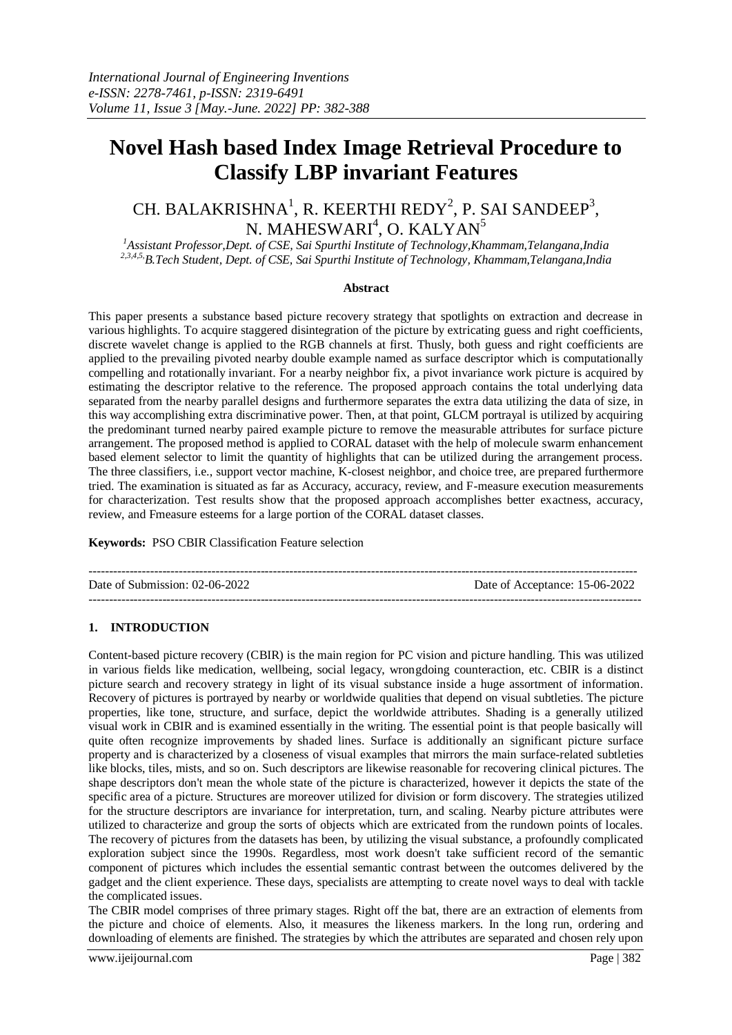# **Novel Hash based Index Image Retrieval Procedure to Classify LBP invariant Features**

# CH. BALAKRISHNA<sup>1</sup>, R. KEERTHI REDY<sup>2</sup>, P. SAI SANDEEP<sup>3</sup>, N. MAHESWARI $^4$ , O. KALYAN $^5$

*<sup>1</sup>Assistant Professor,Dept. of CSE, Sai Spurthi Institute of Technology,Khammam,Telangana,India 2,3,4,5,B.Tech Student, Dept. of CSE, Sai Spurthi Institute of Technology, Khammam,Telangana,India*

#### **Abstract**

This paper presents a substance based picture recovery strategy that spotlights on extraction and decrease in various highlights. To acquire staggered disintegration of the picture by extricating guess and right coefficients, discrete wavelet change is applied to the RGB channels at first. Thusly, both guess and right coefficients are applied to the prevailing pivoted nearby double example named as surface descriptor which is computationally compelling and rotationally invariant. For a nearby neighbor fix, a pivot invariance work picture is acquired by estimating the descriptor relative to the reference. The proposed approach contains the total underlying data separated from the nearby parallel designs and furthermore separates the extra data utilizing the data of size, in this way accomplishing extra discriminative power. Then, at that point, GLCM portrayal is utilized by acquiring the predominant turned nearby paired example picture to remove the measurable attributes for surface picture arrangement. The proposed method is applied to CORAL dataset with the help of molecule swarm enhancement based element selector to limit the quantity of highlights that can be utilized during the arrangement process. The three classifiers, i.e., support vector machine, K-closest neighbor, and choice tree, are prepared furthermore tried. The examination is situated as far as Accuracy, accuracy, review, and F-measure execution measurements for characterization. Test results show that the proposed approach accomplishes better exactness, accuracy, review, and Fmeasure esteems for a large portion of the CORAL dataset classes.

**Keywords:** PSO CBIR Classification Feature selection

-------------------------------------------------------------------------------------------------------------------------------------- Date of Submission: 02-06-2022 Date of Acceptance: 15-06-2022 ---------------------------------------------------------------------------------------------------------------------------------------

# **1. INTRODUCTION**

Content-based picture recovery (CBIR) is the main region for PC vision and picture handling. This was utilized in various fields like medication, wellbeing, social legacy, wrongdoing counteraction, etc. CBIR is a distinct picture search and recovery strategy in light of its visual substance inside a huge assortment of information. Recovery of pictures is portrayed by nearby or worldwide qualities that depend on visual subtleties. The picture properties, like tone, structure, and surface, depict the worldwide attributes. Shading is a generally utilized visual work in CBIR and is examined essentially in the writing. The essential point is that people basically will quite often recognize improvements by shaded lines. Surface is additionally an significant picture surface property and is characterized by a closeness of visual examples that mirrors the main surface-related subtleties like blocks, tiles, mists, and so on. Such descriptors are likewise reasonable for recovering clinical pictures. The shape descriptors don't mean the whole state of the picture is characterized, however it depicts the state of the specific area of a picture. Structures are moreover utilized for division or form discovery. The strategies utilized for the structure descriptors are invariance for interpretation, turn, and scaling. Nearby picture attributes were utilized to characterize and group the sorts of objects which are extricated from the rundown points of locales. The recovery of pictures from the datasets has been, by utilizing the visual substance, a profoundly complicated exploration subject since the 1990s. Regardless, most work doesn't take sufficient record of the semantic component of pictures which includes the essential semantic contrast between the outcomes delivered by the gadget and the client experience. These days, specialists are attempting to create novel ways to deal with tackle the complicated issues.

The CBIR model comprises of three primary stages. Right off the bat, there are an extraction of elements from the picture and choice of elements. Also, it measures the likeness markers. In the long run, ordering and downloading of elements are finished. The strategies by which the attributes are separated and chosen rely upon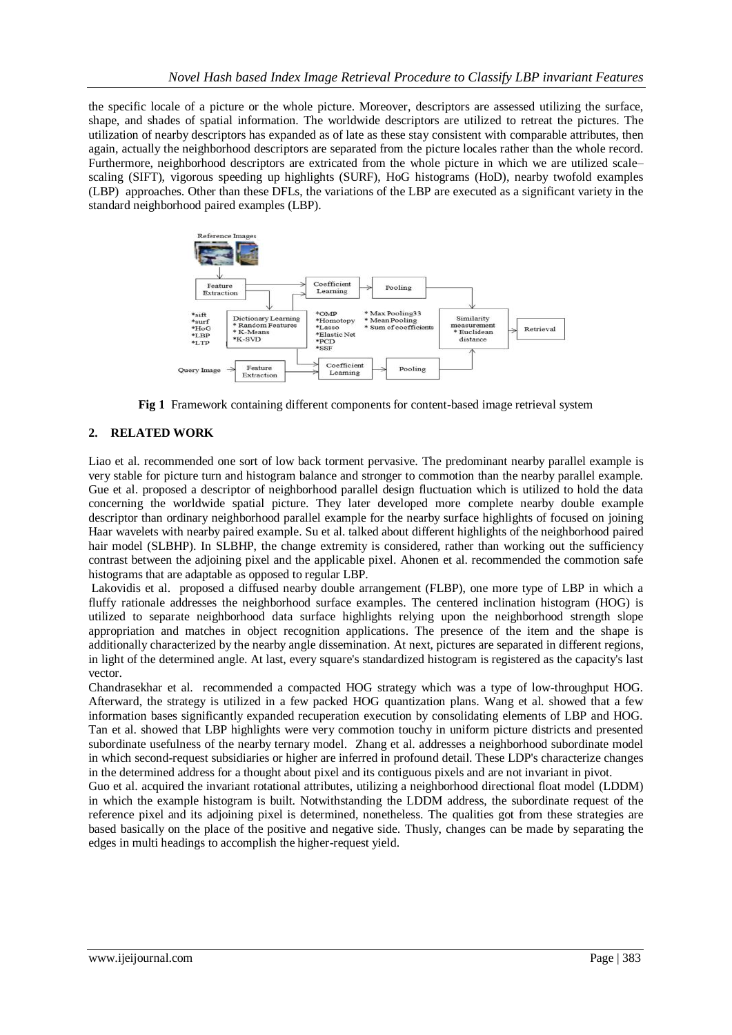the specific locale of a picture or the whole picture. Moreover, descriptors are assessed utilizing the surface, shape, and shades of spatial information. The worldwide descriptors are utilized to retreat the pictures. The utilization of nearby descriptors has expanded as of late as these stay consistent with comparable attributes, then again, actually the neighborhood descriptors are separated from the picture locales rather than the whole record. Furthermore, neighborhood descriptors are extricated from the whole picture in which we are utilized scale– scaling (SIFT), vigorous speeding up highlights (SURF), HoG histograms (HoD), nearby twofold examples (LBP) approaches. Other than these DFLs, the variations of the LBP are executed as a significant variety in the standard neighborhood paired examples (LBP).



**Fig 1** Framework containing different components for content-based image retrieval system

# **2. RELATED WORK**

Liao et al. recommended one sort of low back torment pervasive. The predominant nearby parallel example is very stable for picture turn and histogram balance and stronger to commotion than the nearby parallel example. Gue et al. proposed a descriptor of neighborhood parallel design fluctuation which is utilized to hold the data concerning the worldwide spatial picture. They later developed more complete nearby double example descriptor than ordinary neighborhood parallel example for the nearby surface highlights of focused on joining Haar wavelets with nearby paired example. Su et al. talked about different highlights of the neighborhood paired hair model (SLBHP). In SLBHP, the change extremity is considered, rather than working out the sufficiency contrast between the adjoining pixel and the applicable pixel. Ahonen et al. recommended the commotion safe histograms that are adaptable as opposed to regular LBP.

Lakovidis et al. proposed a diffused nearby double arrangement (FLBP), one more type of LBP in which a fluffy rationale addresses the neighborhood surface examples. The centered inclination histogram (HOG) is utilized to separate neighborhood data surface highlights relying upon the neighborhood strength slope appropriation and matches in object recognition applications. The presence of the item and the shape is additionally characterized by the nearby angle dissemination. At next, pictures are separated in different regions, in light of the determined angle. At last, every square's standardized histogram is registered as the capacity's last vector.

Chandrasekhar et al. recommended a compacted HOG strategy which was a type of low-throughput HOG. Afterward, the strategy is utilized in a few packed HOG quantization plans. Wang et al. showed that a few information bases significantly expanded recuperation execution by consolidating elements of LBP and HOG. Tan et al. showed that LBP highlights were very commotion touchy in uniform picture districts and presented subordinate usefulness of the nearby ternary model. Zhang et al. addresses a neighborhood subordinate model in which second-request subsidiaries or higher are inferred in profound detail. These LDP's characterize changes in the determined address for a thought about pixel and its contiguous pixels and are not invariant in pivot.

Guo et al. acquired the invariant rotational attributes, utilizing a neighborhood directional float model (LDDM) in which the example histogram is built. Notwithstanding the LDDM address, the subordinate request of the reference pixel and its adjoining pixel is determined, nonetheless. The qualities got from these strategies are based basically on the place of the positive and negative side. Thusly, changes can be made by separating the edges in multi headings to accomplish the higher-request yield.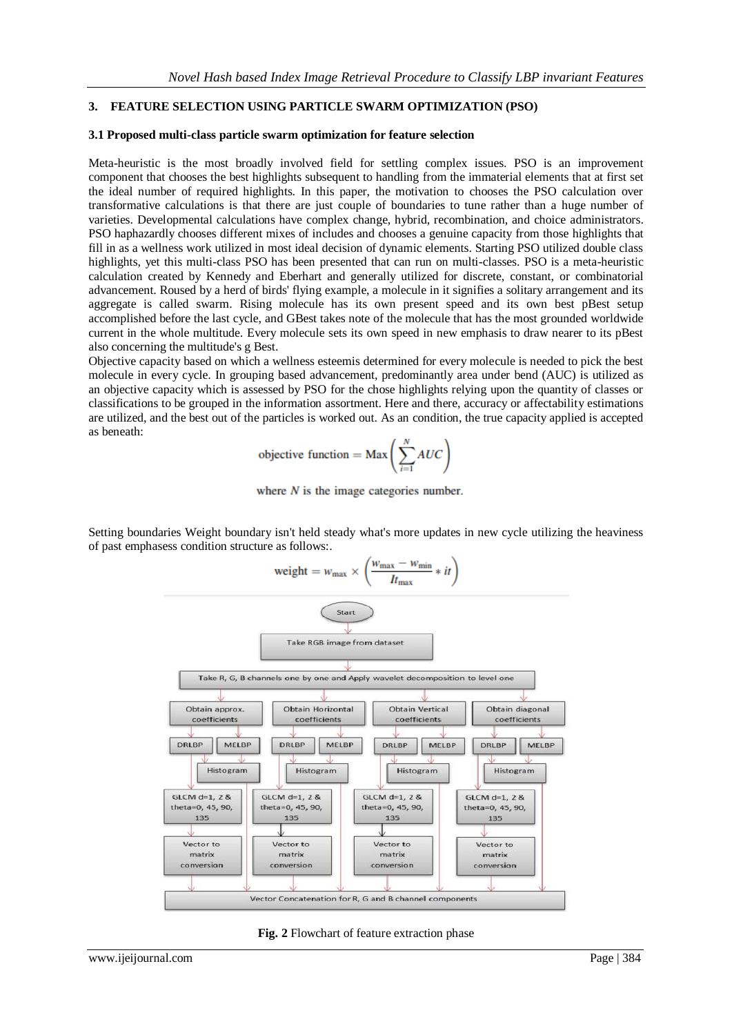#### **3. FEATURE SELECTION USING PARTICLE SWARM OPTIMIZATION (PSO)**

#### **3.1 Proposed multi-class particle swarm optimization for feature selection**

Meta-heuristic is the most broadly involved field for settling complex issues. PSO is an improvement component that chooses the best highlights subsequent to handling from the immaterial elements that at first set the ideal number of required highlights. In this paper, the motivation to chooses the PSO calculation over transformative calculations is that there are just couple of boundaries to tune rather than a huge number of varieties. Developmental calculations have complex change, hybrid, recombination, and choice administrators. PSO haphazardly chooses different mixes of includes and chooses a genuine capacity from those highlights that fill in as a wellness work utilized in most ideal decision of dynamic elements. Starting PSO utilized double class highlights, yet this multi-class PSO has been presented that can run on multi-classes. PSO is a meta-heuristic calculation created by Kennedy and Eberhart and generally utilized for discrete, constant, or combinatorial advancement. Roused by a herd of birds' flying example, a molecule in it signifies a solitary arrangement and its aggregate is called swarm. Rising molecule has its own present speed and its own best pBest setup accomplished before the last cycle, and GBest takes note of the molecule that has the most grounded worldwide current in the whole multitude. Every molecule sets its own speed in new emphasis to draw nearer to its pBest also concerning the multitude's g Best.

Objective capacity based on which a wellness esteemis determined for every molecule is needed to pick the best molecule in every cycle. In grouping based advancement, predominantly area under bend (AUC) is utilized as an objective capacity which is assessed by PSO for the chose highlights relying upon the quantity of classes or classifications to be grouped in the information assortment. Here and there, accuracy or affectability estimations are utilized, and the best out of the particles is worked out. As an condition, the true capacity applied is accepted as beneath:

objective function = Max 
$$
\left(\sum_{i=1}^{N} AUC\right)
$$



Setting boundaries Weight boundary isn't held steady what's more updates in new cycle utilizing the heaviness of past emphasess condition structure as follows:.



**Fig. 2** Flowchart of feature extraction phase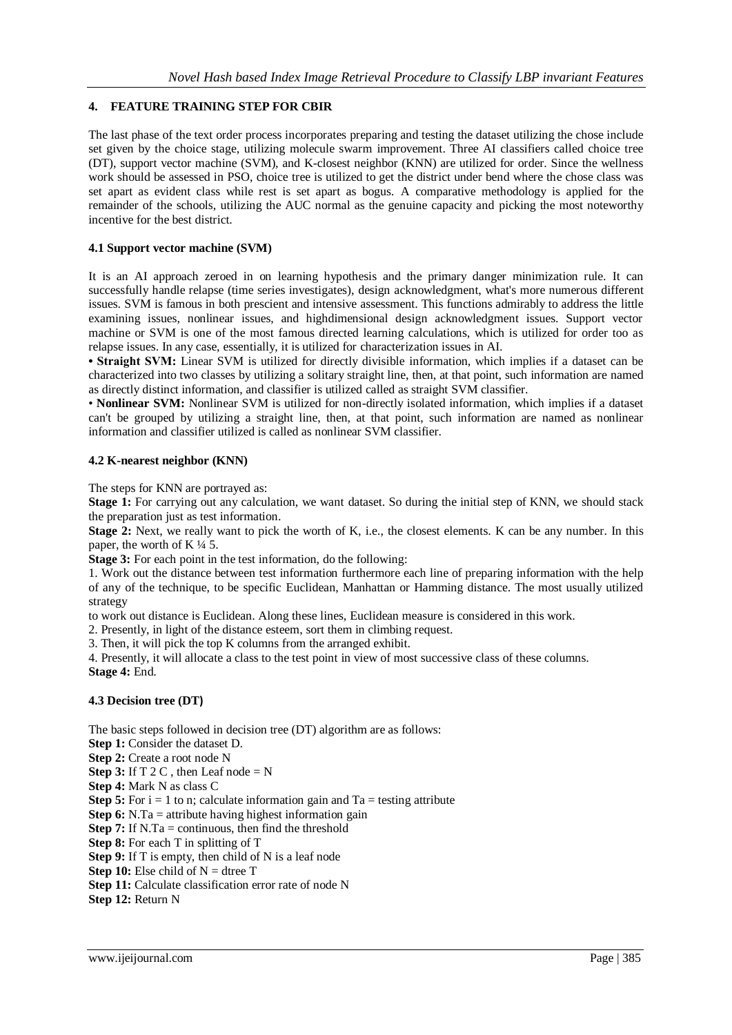# **4. FEATURE TRAINING STEP FOR CBIR**

The last phase of the text order process incorporates preparing and testing the dataset utilizing the chose include set given by the choice stage, utilizing molecule swarm improvement. Three AI classifiers called choice tree (DT), support vector machine (SVM), and K-closest neighbor (KNN) are utilized for order. Since the wellness work should be assessed in PSO, choice tree is utilized to get the district under bend where the chose class was set apart as evident class while rest is set apart as bogus. A comparative methodology is applied for the remainder of the schools, utilizing the AUC normal as the genuine capacity and picking the most noteworthy incentive for the best district.

## **4.1 Support vector machine (SVM)**

It is an AI approach zeroed in on learning hypothesis and the primary danger minimization rule. It can successfully handle relapse (time series investigates), design acknowledgment, what's more numerous different issues. SVM is famous in both prescient and intensive assessment. This functions admirably to address the little examining issues, nonlinear issues, and highdimensional design acknowledgment issues. Support vector machine or SVM is one of the most famous directed learning calculations, which is utilized for order too as relapse issues. In any case, essentially, it is utilized for characterization issues in AI.

• Straight SVM: Linear SVM is utilized for directly divisible information, which implies if a dataset can be characterized into two classes by utilizing a solitary straight line, then, at that point, such information are named as directly distinct information, and classifier is utilized called as straight SVM classifier.

• **Nonlinear SVM:** Nonlinear SVM is utilized for non-directly isolated information, which implies if a dataset can't be grouped by utilizing a straight line, then, at that point, such information are named as nonlinear information and classifier utilized is called as nonlinear SVM classifier.

## **4.2 K-nearest neighbor (KNN)**

The steps for KNN are portrayed as:

**Stage 1:** For carrying out any calculation, we want dataset. So during the initial step of KNN, we should stack the preparation just as test information.

**Stage 2:** Next, we really want to pick the worth of K, i.e., the closest elements. K can be any number. In this paper, the worth of K $\frac{1}{4}$  5.

**Stage 3:** For each point in the test information, do the following:

1. Work out the distance between test information furthermore each line of preparing information with the help of any of the technique, to be specific Euclidean, Manhattan or Hamming distance. The most usually utilized strategy

to work out distance is Euclidean. Along these lines, Euclidean measure is considered in this work.

2. Presently, in light of the distance esteem, sort them in climbing request.

3. Then, it will pick the top K columns from the arranged exhibit.

4. Presently, it will allocate a class to the test point in view of most successive class of these columns. **Stage 4:** End.

#### **4.3 Decision tree (DT)**

The basic steps followed in decision tree (DT) algorithm are as follows:

- **Step 1:** Consider the dataset D.
- **Step 2:** Create a root node N

**Step 3:** If  $T \, 2 \, C$ , then Leaf node = N

**Step 4:** Mark N as class C

**Step 5:** For  $i = 1$  to n; calculate information gain and  $Ta =$  testing attribute

**Step 6:** N.Ta = attribute having highest information gain

**Step 7:** If N.Ta = continuous, then find the threshold

**Step 8:** For each T in splitting of T

**Step 9:** If T is empty, then child of N is a leaf node

**Step 10:** Else child of  $N =$  dtree T

**Step 11:** Calculate classification error rate of node N

**Step 12:** Return N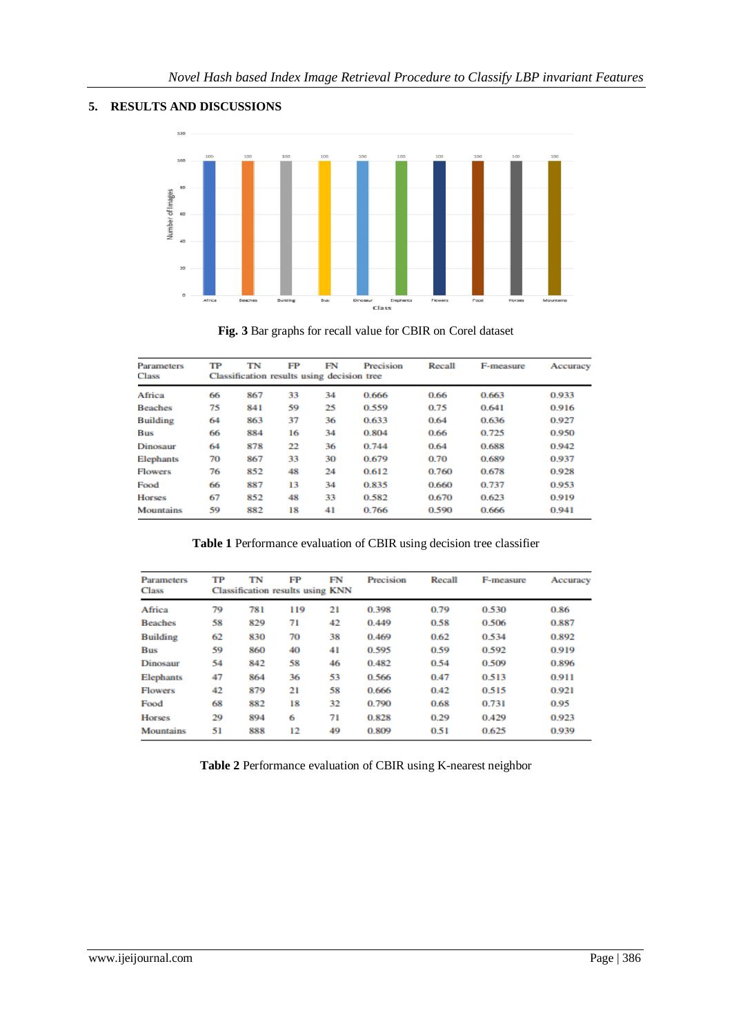# **5. RESULTS AND DISCUSSIONS**



**Fig. 3** Bar graphs for recall value for CBIR on Corel dataset

| Parameters<br>Class | TР | TN<br>Classification results using decision tree | FP | FN | Precision | Recall | F-measure | Accuracy |
|---------------------|----|--------------------------------------------------|----|----|-----------|--------|-----------|----------|
| Africa              | 66 | 867                                              | 33 | 34 | 0.666     | 0.66   | 0.663     | 0.933    |
| <b>Beaches</b>      | 75 | 841                                              | 59 | 25 | 0.559     | 0.75   | 0.641     | 0.916    |
| <b>Building</b>     | 64 | 863                                              | 37 | 36 | 0.633     | 0.64   | 0.636     | 0.927    |
| Bus                 | 66 | 884                                              | 16 | 34 | 0.804     | 0.66   | 0.725     | 0.950    |
| Dinosaur            | 64 | 878                                              | 22 | 36 | 0.744     | 0.64   | 0.688     | 0.942    |
| Elephants           | 70 | 867                                              | 33 | 30 | 0.679     | 0.70   | 0.689     | 0.937    |
| <b>Flowers</b>      | 76 | 852                                              | 48 | 24 | 0.612     | 0.760  | 0.678     | 0.928    |
| Food                | 66 | 887                                              | 13 | 34 | 0.835     | 0.660  | 0.737     | 0.953    |
| <b>Horses</b>       | 67 | 852                                              | 48 | 33 | 0.582     | 0.670  | 0.623     | 0.919    |
| Mountains           | 59 | 882                                              | 18 | 41 | 0.766     | 0.590  | 0.666     | 0.941    |

**Table 1** Performance evaluation of CBIR using decision tree classifier

| <b>Parameters</b><br><b>Class</b> | TP | TN<br><b>Classification results using KNN</b> | FP  | FN | Precision | Recall | F-measure | Accuracy |
|-----------------------------------|----|-----------------------------------------------|-----|----|-----------|--------|-----------|----------|
| Africa                            | 79 | 781                                           | 119 | 21 | 0.398     | 0.79   | 0.530     | 0.86     |
| <b>Beaches</b>                    | 58 | 829                                           | 71  | 42 | 0.449     | 0.58   | 0.506     | 0.887    |
| <b>Building</b>                   | 62 | 830                                           | 70  | 38 | 0.469     | 0.62   | 0.534     | 0.892    |
| <b>Bus</b>                        | 59 | 860                                           | 40  | 41 | 0.595     | 0.59   | 0.592     | 0.919    |
| Dinosaur                          | 54 | 842                                           | 58  | 46 | 0.482     | 0.54   | 0.509     | 0.896    |
| <b>Elephants</b>                  | 47 | 864                                           | 36  | 53 | 0.566     | 0.47   | 0.513     | 0.911    |
| <b>Flowers</b>                    | 42 | 879                                           | 21  | 58 | 0.666     | 0.42   | 0.515     | 0.921    |
| Food                              | 68 | 882                                           | 18  | 32 | 0.790     | 0.68   | 0.731     | 0.95     |
| <b>Horses</b>                     | 29 | 894                                           | 6   | 71 | 0.828     | 0.29   | 0.429     | 0.923    |
| <b>Mountains</b>                  | 51 | 888                                           | 12  | 49 | 0.809     | 0.51   | 0.625     | 0.939    |

**Table 2** Performance evaluation of CBIR using K-nearest neighbor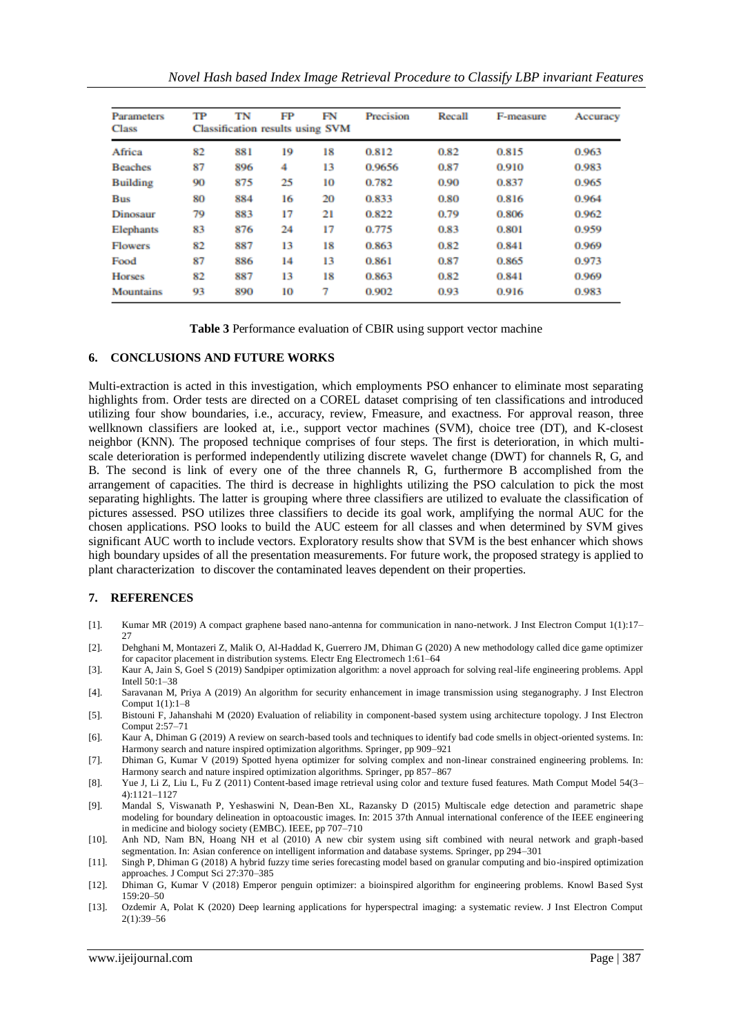| <b>Parameters</b> | TP                                      | TN  | FP | FN | Precision | Recall | F-measure | Accuracy |  |
|-------------------|-----------------------------------------|-----|----|----|-----------|--------|-----------|----------|--|
| <b>Class</b>      | <b>Classification results using SVM</b> |     |    |    |           |        |           |          |  |
| Africa            | 82                                      | 881 | 19 | 18 | 0.812     | 0.82   | 0.815     | 0.963    |  |
| <b>Beaches</b>    | 87                                      | 896 | 4  | 13 | 0.9656    | 0.87   | 0.910     | 0.983    |  |
| <b>Building</b>   | 90                                      | 875 | 25 | 10 | 0.782     | 0.90   | 0.837     | 0.965    |  |
| <b>Bus</b>        | 80                                      | 884 | 16 | 20 | 0.833     | 0.80   | 0.816     | 0.964    |  |
| Dinosaur          | 79                                      | 883 | 17 | 21 | 0.822     | 0.79   | 0.806     | 0.962    |  |
| <b>Elephants</b>  | 83                                      | 876 | 24 | 17 | 0.775     | 0.83   | 0.801     | 0.959    |  |
| <b>Flowers</b>    | 82                                      | 887 | 13 | 18 | 0.863     | 0.82   | 0.841     | 0.969    |  |
| Food              | 87                                      | 886 | 14 | 13 | 0.861     | 0.87   | 0.865     | 0.973    |  |
| <b>Horses</b>     | 82                                      | 887 | 13 | 18 | 0.863     | 0.82   | 0.841     | 0.969    |  |
| <b>Mountains</b>  | 93                                      | 890 | 10 | 7  | 0.902     | 0.93   | 0.916     | 0.983    |  |

**Table 3** Performance evaluation of CBIR using support vector machine

#### **6. CONCLUSIONS AND FUTURE WORKS**

Multi-extraction is acted in this investigation, which employments PSO enhancer to eliminate most separating highlights from. Order tests are directed on a COREL dataset comprising of ten classifications and introduced utilizing four show boundaries, i.e., accuracy, review, Fmeasure, and exactness. For approval reason, three wellknown classifiers are looked at, i.e., support vector machines (SVM), choice tree (DT), and K-closest neighbor (KNN). The proposed technique comprises of four steps. The first is deterioration, in which multiscale deterioration is performed independently utilizing discrete wavelet change (DWT) for channels R, G, and B. The second is link of every one of the three channels R, G, furthermore B accomplished from the arrangement of capacities. The third is decrease in highlights utilizing the PSO calculation to pick the most separating highlights. The latter is grouping where three classifiers are utilized to evaluate the classification of pictures assessed. PSO utilizes three classifiers to decide its goal work, amplifying the normal AUC for the chosen applications. PSO looks to build the AUC esteem for all classes and when determined by SVM gives significant AUC worth to include vectors. Exploratory results show that SVM is the best enhancer which shows high boundary upsides of all the presentation measurements. For future work, the proposed strategy is applied to plant characterization to discover the contaminated leaves dependent on their properties.

#### **7. REFERENCES**

- [1]. Kumar MR (2019) A compact graphene based nano-antenna for communication in nano-network. J Inst Electron Comput 1(1):17– 27
- [2]. Dehghani M, Montazeri Z, Malik O, Al-Haddad K, Guerrero JM, Dhiman G (2020) A new methodology called dice game optimizer for capacitor placement in distribution systems. Electr Eng Electromech 1:61–64
- [3]. Kaur A, Jain S, Goel S (2019) Sandpiper optimization algorithm: a novel approach for solving real-life engineering problems. Appl Intell 50:1–38
- [4]. Saravanan M, Priya A (2019) An algorithm for security enhancement in image transmission using steganography. J Inst Electron Comput 1(1):1–8
- [5]. Bistouni F, Jahanshahi M (2020) Evaluation of reliability in component-based system using architecture topology. J Inst Electron Comput 2:57–71
- [6]. Kaur A, Dhiman G (2019) A review on search-based tools and techniques to identify bad code smells in object-oriented systems. In: Harmony search and nature inspired optimization algorithms. Springer, pp 909–921
- [7]. Dhiman G, Kumar V (2019) Spotted hyena optimizer for solving complex and non-linear constrained engineering problems. In: Harmony search and nature inspired optimization algorithms. Springer, pp 857–867
- [8]. Yue J, Li Z, Liu L, Fu Z (2011) Content-based image retrieval using color and texture fused features. Math Comput Model 54(3– 4):1121–1127
- [9]. Mandal S, Viswanath P, Yeshaswini N, Dean-Ben XL, Razansky D (2015) Multiscale edge detection and parametric shape modeling for boundary delineation in optoacoustic images. In: 2015 37th Annual international conference of the IEEE engineering in medicine and biology society (EMBC). IEEE, pp 707–710
- [10]. Anh ND, Nam BN, Hoang NH et al (2010) A new cbir system using sift combined with neural network and graph-based segmentation. In: Asian conference on intelligent information and database systems. Springer, pp 294–301
- [11]. Singh P, Dhiman G (2018) A hybrid fuzzy time series forecasting model based on granular computing and bio-inspired optimization approaches. J Comput Sci 27:370–385
- [12]. Dhiman G, Kumar V (2018) Emperor penguin optimizer: a bioinspired algorithm for engineering problems. Knowl Based Syst 159:20–50
- [13]. Ozdemir A, Polat K (2020) Deep learning applications for hyperspectral imaging: a systematic review. J Inst Electron Comput 2(1):39–56